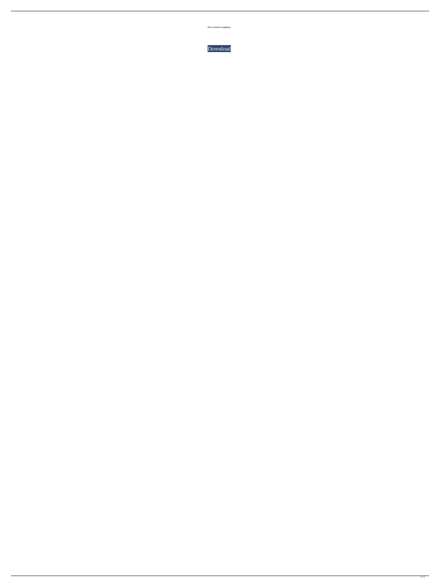